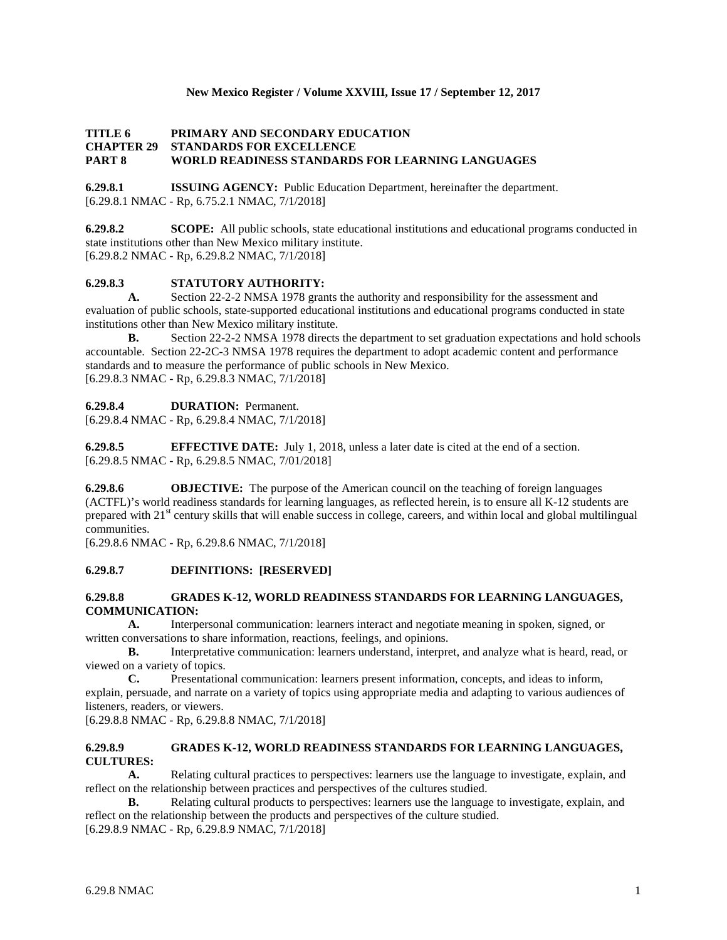## **New Mexico Register / Volume XXVIII, Issue 17 / September 12, 2017**

## **TITLE 6 PRIMARY AND SECONDARY EDUCATION CHAPTER 29 STANDARDS FOR EXCELLENCE PART 8 WORLD READINESS STANDARDS FOR LEARNING LANGUAGES**

**6.29.8.1 ISSUING AGENCY:** Public Education Department, hereinafter the department. [6.29.8.1 NMAC - Rp, 6.75.2.1 NMAC, 7/1/2018]

**6.29.8.2 SCOPE:** All public schools, state educational institutions and educational programs conducted in state institutions other than New Mexico military institute. [6.29.8.2 NMAC - Rp, 6.29.8.2 NMAC, 7/1/2018]

# **6.29.8.3 STATUTORY AUTHORITY:**

**A.** Section 22-2-2 NMSA 1978 grants the authority and responsibility for the assessment and evaluation of public schools, state-supported educational institutions and educational programs conducted in state institutions other than New Mexico military institute.

**B.** Section 22-2-2 NMSA 1978 directs the department to set graduation expectations and hold schools accountable. Section 22-2C-3 NMSA 1978 requires the department to adopt academic content and performance standards and to measure the performance of public schools in New Mexico. [6.29.8.3 NMAC - Rp, 6.29.8.3 NMAC, 7/1/2018]

#### **6.29.8.4 DURATION:** Permanent.

[6.29.8.4 NMAC - Rp, 6.29.8.4 NMAC, 7/1/2018]

**6.29.8.5 EFFECTIVE DATE:** July 1, 2018, unless a later date is cited at the end of a section. [6.29.8.5 NMAC - Rp, 6.29.8.5 NMAC, 7/01/2018]

**6.29.8.6 OBJECTIVE:** The purpose of the American council on the teaching of foreign languages (ACTFL)'s world readiness standards for learning languages, as reflected herein, is to ensure all K-12 students are prepared with 21<sup>st</sup> century skills that will enable success in college, careers, and within local and global multilingual communities.

[6.29.8.6 NMAC - Rp, 6.29.8.6 NMAC, 7/1/2018]

#### **6.29.8.7 DEFINITIONS: [RESERVED]**

#### **6.29.8.8 GRADES K-12, WORLD READINESS STANDARDS FOR LEARNING LANGUAGES, COMMUNICATION:**

**A.** Interpersonal communication: learners interact and negotiate meaning in spoken, signed, or written conversations to share information, reactions, feelings, and opinions.

**B.** Interpretative communication: learners understand, interpret, and analyze what is heard, read, or viewed on a variety of topics.

**C.** Presentational communication: learners present information, concepts, and ideas to inform, explain, persuade, and narrate on a variety of topics using appropriate media and adapting to various audiences of listeners, readers, or viewers.

[6.29.8.8 NMAC - Rp, 6.29.8.8 NMAC, 7/1/2018]

# **6.29.8.9 GRADES K-12, WORLD READINESS STANDARDS FOR LEARNING LANGUAGES, CULTURES:**

**A.** Relating cultural practices to perspectives: learners use the language to investigate, explain, and reflect on the relationship between practices and perspectives of the cultures studied.

**B.** Relating cultural products to perspectives: learners use the language to investigate, explain, and reflect on the relationship between the products and perspectives of the culture studied. [6.29.8.9 NMAC - Rp, 6.29.8.9 NMAC, 7/1/2018]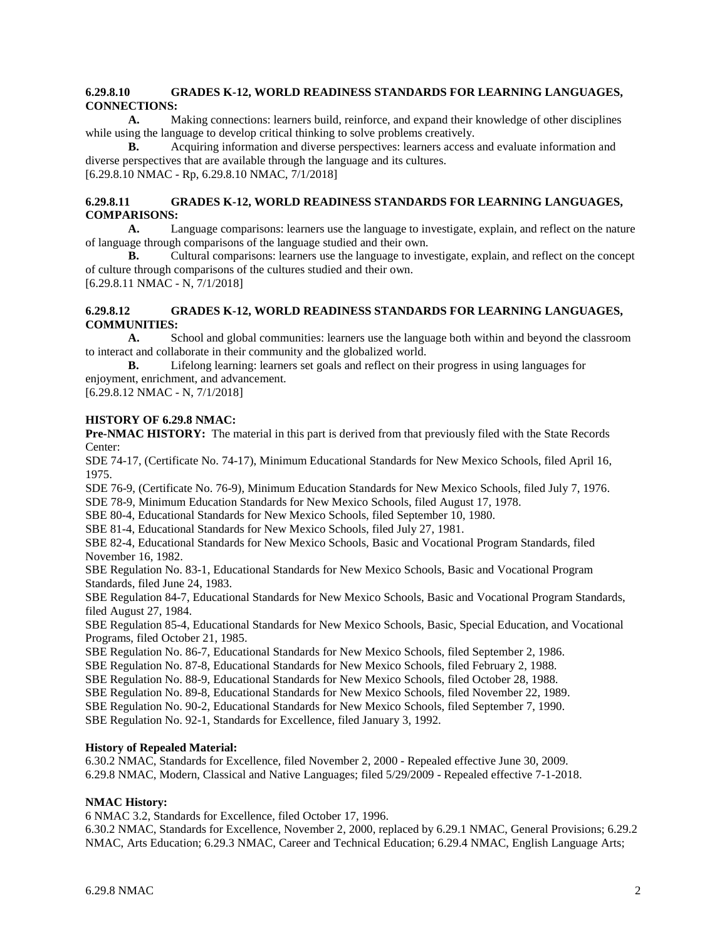## **6.29.8.10 GRADES K-12, WORLD READINESS STANDARDS FOR LEARNING LANGUAGES, CONNECTIONS:**

**A.** Making connections: learners build, reinforce, and expand their knowledge of other disciplines while using the language to develop critical thinking to solve problems creatively.

**B.** Acquiring information and diverse perspectives: learners access and evaluate information and diverse perspectives that are available through the language and its cultures. [6.29.8.10 NMAC - Rp, 6.29.8.10 NMAC, 7/1/2018]

## **6.29.8.11 GRADES K-12, WORLD READINESS STANDARDS FOR LEARNING LANGUAGES, COMPARISONS:**

**A.** Language comparisons: learners use the language to investigate, explain, and reflect on the nature of language through comparisons of the language studied and their own.

**B.** Cultural comparisons: learners use the language to investigate, explain, and reflect on the concept of culture through comparisons of the cultures studied and their own.

[6.29.8.11 NMAC - N, 7/1/2018]

## **6.29.8.12 GRADES K-12, WORLD READINESS STANDARDS FOR LEARNING LANGUAGES, COMMUNITIES:**

**A.** School and global communities: learners use the language both within and beyond the classroom to interact and collaborate in their community and the globalized world.

**B.** Lifelong learning: learners set goals and reflect on their progress in using languages for enjoyment, enrichment, and advancement.

[6.29.8.12 NMAC - N, 7/1/2018]

#### **HISTORY OF 6.29.8 NMAC:**

**Pre-NMAC HISTORY:** The material in this part is derived from that previously filed with the State Records Center:

SDE 74-17, (Certificate No. 74-17), Minimum Educational Standards for New Mexico Schools, filed April 16, 1975.

SDE 76-9, (Certificate No. 76-9), Minimum Education Standards for New Mexico Schools, filed July 7, 1976. SDE 78-9, Minimum Education Standards for New Mexico Schools, filed August 17, 1978.

SBE 80-4, Educational Standards for New Mexico Schools, filed September 10, 1980.

SBE 81-4, Educational Standards for New Mexico Schools, filed July 27, 1981.

SBE 82-4, Educational Standards for New Mexico Schools, Basic and Vocational Program Standards, filed November 16, 1982.

SBE Regulation No. 83-1, Educational Standards for New Mexico Schools, Basic and Vocational Program Standards, filed June 24, 1983.

SBE Regulation 84-7, Educational Standards for New Mexico Schools, Basic and Vocational Program Standards, filed August 27, 1984.

SBE Regulation 85-4, Educational Standards for New Mexico Schools, Basic, Special Education, and Vocational Programs, filed October 21, 1985.

SBE Regulation No. 86-7, Educational Standards for New Mexico Schools, filed September 2, 1986.

SBE Regulation No. 87-8, Educational Standards for New Mexico Schools, filed February 2, 1988.

SBE Regulation No. 88-9, Educational Standards for New Mexico Schools, filed October 28, 1988.

SBE Regulation No. 89-8, Educational Standards for New Mexico Schools, filed November 22, 1989.

SBE Regulation No. 90-2, Educational Standards for New Mexico Schools, filed September 7, 1990.

SBE Regulation No. 92-1, Standards for Excellence, filed January 3, 1992.

#### **History of Repealed Material:**

6.30.2 NMAC, Standards for Excellence, filed November 2, 2000 - Repealed effective June 30, 2009. 6.29.8 NMAC, Modern, Classical and Native Languages; filed 5/29/2009 - Repealed effective 7-1-2018.

# **NMAC History:**

6 NMAC 3.2, Standards for Excellence, filed October 17, 1996.

6.30.2 NMAC, Standards for Excellence, November 2, 2000, replaced by 6.29.1 NMAC, General Provisions; 6.29.2 NMAC, Arts Education; 6.29.3 NMAC, Career and Technical Education; 6.29.4 NMAC, English Language Arts;